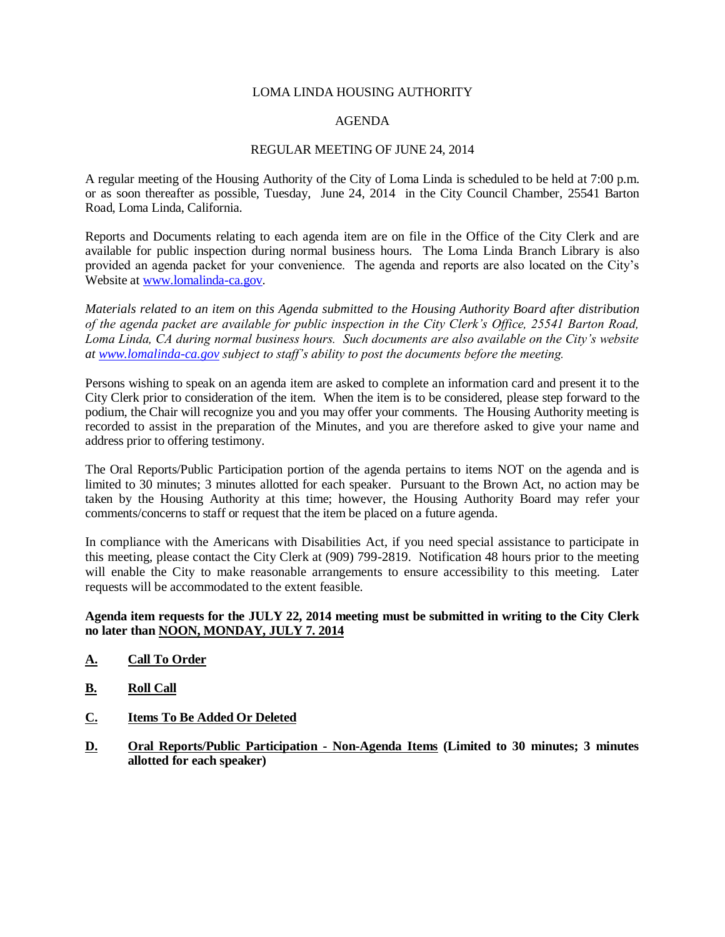### LOMA LINDA HOUSING AUTHORITY

## AGENDA

## REGULAR MEETING OF JUNE 24, 2014

A regular meeting of the Housing Authority of the City of Loma Linda is scheduled to be held at 7:00 p.m. or as soon thereafter as possible, Tuesday, June 24, 2014 in the City Council Chamber, 25541 Barton Road, Loma Linda, California.

Reports and Documents relating to each agenda item are on file in the Office of the City Clerk and are available for public inspection during normal business hours. The Loma Linda Branch Library is also provided an agenda packet for your convenience. The agenda and reports are also located on the City's Website a[t www.lomalinda-ca.gov.](http://www.lomalinda-ca.gov/)

*Materials related to an item on this Agenda submitted to the Housing Authority Board after distribution of the agenda packet are available for public inspection in the City Clerk's Office, 25541 Barton Road, Loma Linda, CA during normal business hours. Such documents are also available on the City's website at [www.lomalinda-ca.gov](http://www.lomalinda-ca.gov/) subject to staff's ability to post the documents before the meeting.*

Persons wishing to speak on an agenda item are asked to complete an information card and present it to the City Clerk prior to consideration of the item. When the item is to be considered, please step forward to the podium, the Chair will recognize you and you may offer your comments. The Housing Authority meeting is recorded to assist in the preparation of the Minutes, and you are therefore asked to give your name and address prior to offering testimony.

The Oral Reports/Public Participation portion of the agenda pertains to items NOT on the agenda and is limited to 30 minutes; 3 minutes allotted for each speaker.Pursuant to the Brown Act, no action may be taken by the Housing Authority at this time; however, the Housing Authority Board may refer your comments/concerns to staff or request that the item be placed on a future agenda.

In compliance with the Americans with Disabilities Act, if you need special assistance to participate in this meeting, please contact the City Clerk at (909) 799-2819. Notification 48 hours prior to the meeting will enable the City to make reasonable arrangements to ensure accessibility to this meeting. Later requests will be accommodated to the extent feasible.

# **Agenda item requests for the JULY 22, 2014 meeting must be submitted in writing to the City Clerk no later than NOON, MONDAY, JULY 7. 2014**

- **A. Call To Order**
- **B. Roll Call**
- **C. Items To Be Added Or Deleted**
- **D. Oral Reports/Public Participation Non-Agenda Items** (Limited to 30 minutes; 3 minutes **allotted for each speaker)**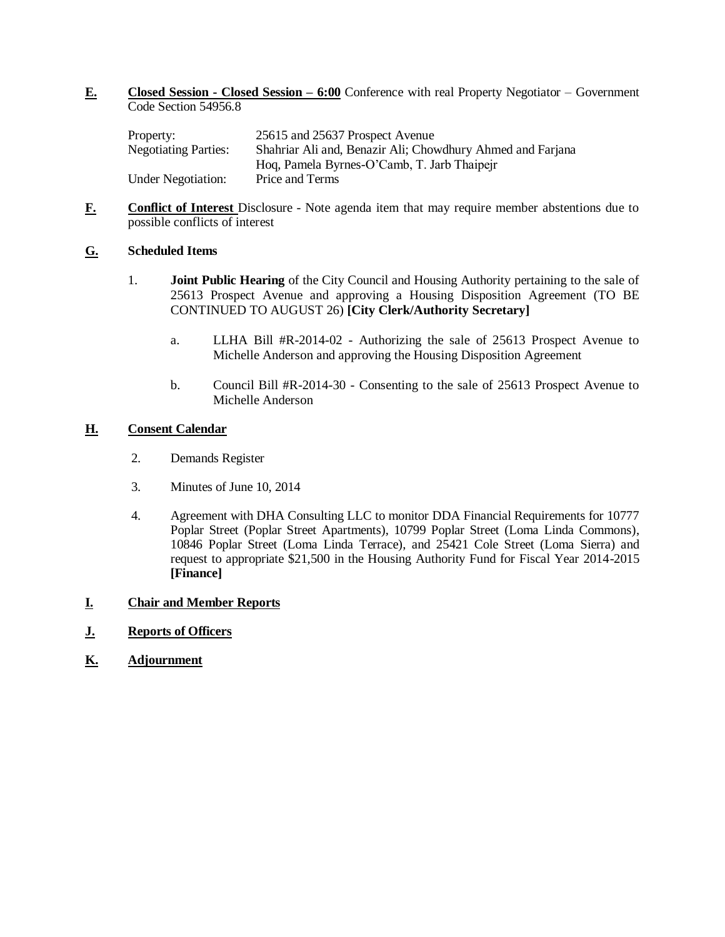**E. Closed Session - Closed Session – 6:00** Conference with real Property Negotiator – Government Code Section 54956.8

| Property:                   | 25615 and 25637 Prospect Avenue                            |
|-----------------------------|------------------------------------------------------------|
| <b>Negotiating Parties:</b> | Shahriar Ali and, Benazir Ali; Chowdhury Ahmed and Farjana |
|                             | Hog, Pamela Byrnes-O'Camb, T. Jarb Thaipeir                |
| <b>Under Negotiation:</b>   | Price and Terms                                            |

**F. Conflict of Interest** Disclosure - Note agenda item that may require member abstentions due to possible conflicts of interest

# **G. Scheduled Items**

- 1. **Joint Public Hearing** of the City Council and Housing Authority pertaining to the sale of 25613 Prospect Avenue and approving a Housing Disposition Agreement (TO BE CONTINUED TO AUGUST 26) **[City Clerk/Authority Secretary]**
	- a. LLHA Bill #R-2014-02 Authorizing the sale of 25613 Prospect Avenue to Michelle Anderson and approving the Housing Disposition Agreement
	- b. Council Bill #R-2014-30 Consenting to the sale of 25613 Prospect Avenue to Michelle Anderson

## **H. Consent Calendar**

- 2. Demands Register
- 3. Minutes of June 10, 2014
- 4. Agreement with DHA Consulting LLC to monitor DDA Financial Requirements for 10777 Poplar Street (Poplar Street Apartments), 10799 Poplar Street (Loma Linda Commons), 10846 Poplar Street (Loma Linda Terrace), and 25421 Cole Street (Loma Sierra) and request to appropriate \$21,500 in the Housing Authority Fund for Fiscal Year 2014-2015 **[Finance]**

# **I. Chair and Member Reports**

- **J. Reports of Officers**
- **K. Adjournment**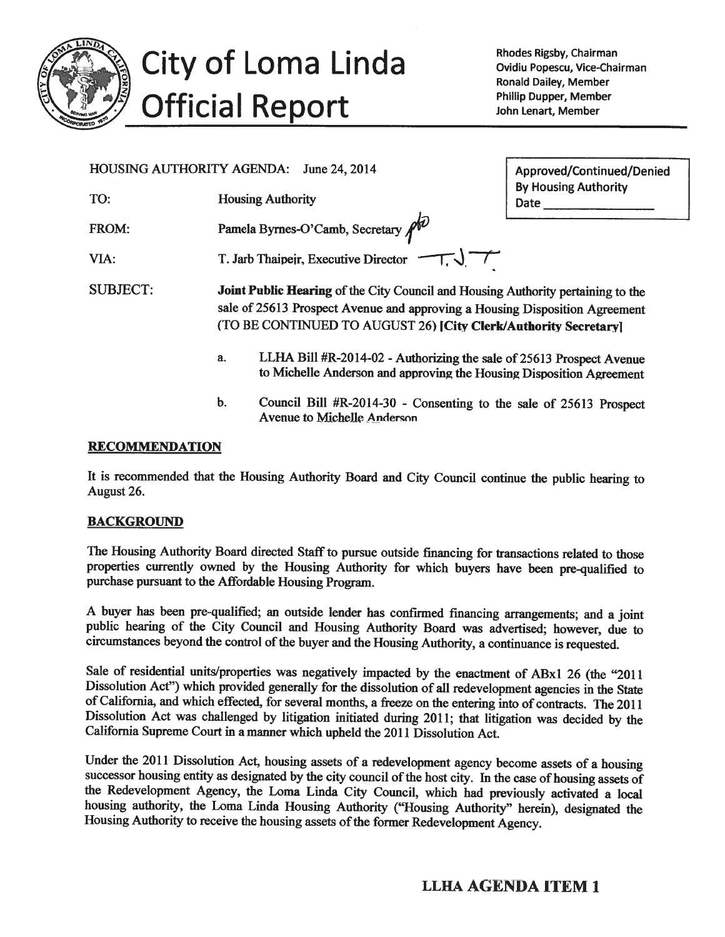

# City of Loma Linda **Official Report**

Rhodes Rigsby, Chairman Ovidiu Popescu, Vice-Chairman **Ronald Dailey, Member Phillip Dupper, Member** John Lenart, Member

| HOUSING AUTHORITY AGENDA: | June 24, 2014<br>Approved/Continued/Denied                                                                                                                                                                                         |                              |
|---------------------------|------------------------------------------------------------------------------------------------------------------------------------------------------------------------------------------------------------------------------------|------------------------------|
| TO:                       | <b>Housing Authority</b>                                                                                                                                                                                                           | By Housing Authority<br>Date |
| FROM:                     | Pamela Byrnes-O'Camb, Secretary $\mathbb{A}^{\widehat{U}}$                                                                                                                                                                         |                              |
| VIA:                      | T. Jarb Thaipejr, Executive Director                                                                                                                                                                                               |                              |
| <b>SUBJECT:</b>           | Joint Public Hearing of the City Council and Housing Authority pertaining to the<br>sale of 25613 Prospect Avenue and approving a Housing Disposition Agreement<br>(TO BE CONTINUED TO AUGUST 26) [City Clerk/Authority Secretary] |                              |
|                           | LLHA Bill #R-2014-02 - Authorizing the sale of 25613 Prospect Avenue<br>a <sub>z</sub><br>to Michelle Anderson and approving the Housing Disposition Agreement                                                                     |                              |

 $\mathbf b$ . Council Bill #R-2014-30 - Consenting to the sale of 25613 Prospect **Avenue to Michelle Anderson** 

# **RECOMMENDATION**

It is recommended that the Housing Authority Board and City Council continue the public hearing to August 26.

# **BACKGROUND**

The Housing Authority Board directed Staff to pursue outside financing for transactions related to those properties currently owned by the Housing Authority for which buyers have been pre-qualified to purchase pursuant to the Affordable Housing Program.

A buyer has been pre-qualified; an outside lender has confirmed financing arrangements; and a joint public hearing of the City Council and Housing Authority Board was advertised; however, due to circumstances beyond the control of the buyer and the Housing Authority, a continuance is requested.

Sale of residential units/properties was negatively impacted by the enactment of ABx1 26 (the "2011 Dissolution Act") which provided generally for the dissolution of all redevelopment agencies in the State of California, and which effected, for several months, a freeze on the entering into of contracts. The 2011 Dissolution Act was challenged by litigation initiated during 2011; that litigation was decided by the California Supreme Court in a manner which upheld the 2011 Dissolution Act.

Under the 2011 Dissolution Act, housing assets of a redevelopment agency become assets of a housing successor housing entity as designated by the city council of the host city. In the case of housing assets of the Redevelopment Agency, the Loma Linda City Council, which had previously activated a local housing authority, the Loma Linda Housing Authority ("Housing Authority" herein), designated the Housing Authority to receive the housing assets of the former Redevelopment Agency.

# **LLHA AGENDA ITEM 1**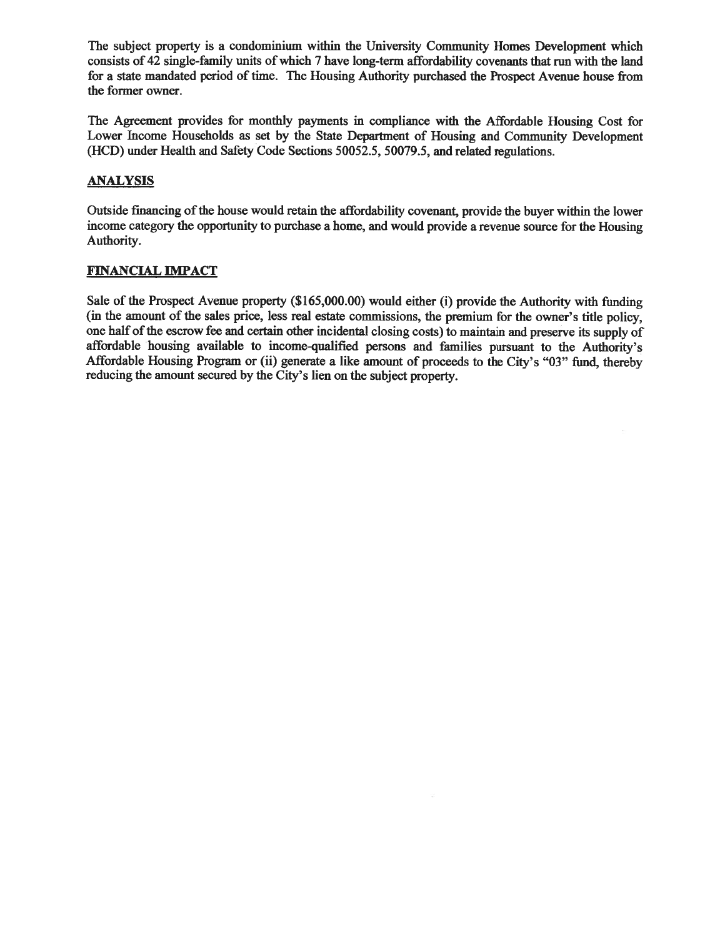The subject property is a condominium within the University Community Homes Development which consists of 42 single-family units of which 7 have long-term affordability covenants that run with the land for a state mandated period of time. The Housing Authority purchased the Prospect Avenue house from the former owner.

The Agreement provides for monthly payments in compliance with the Affordable Housing Cost for Lower Income Households as set by the State Department of Housing and Community Development (HCD) under Health and Safety Code Sections 50052.5, 50079.5, and related regulations.

# **ANALYSIS**

Outside financing of the house would retain the affordability covenant, provide the buyer within the lower income category the opportunity to purchase a home, and would provide a revenue source for the Housing Authority.

# **FINANCIAL IMPACT**

Sale of the Prospect Avenue property (\$165,000.00) would either (i) provide the Authority with funding (in the amount of the sales price, less real estate commissions, the premium for the owner's title policy, one half of the escrow fee and certain other incidental closing costs) to maintain and preserve its supply of affordable housing available to income-qualified persons and families pursuant to the Authority's Affordable Housing Program or (ii) generate a like amount of proceeds to the City's "03" fund, thereby reducing the amount secured by the City's lien on the subject property.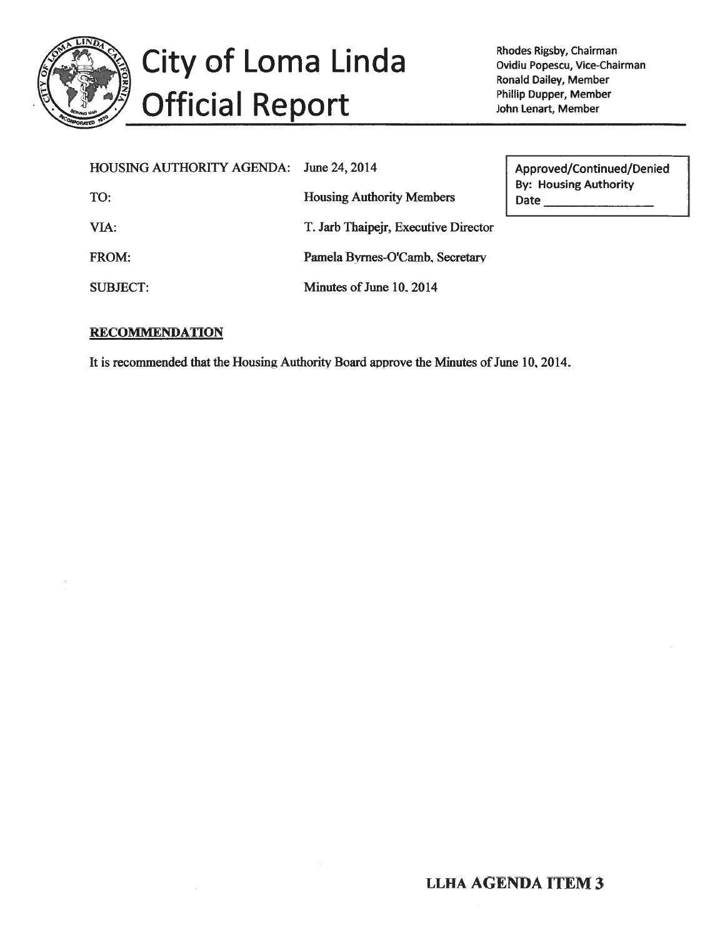

# City of Loma Linda **Official Report**

Rhodes Rigsby, Chairman Ovidiu Popescu, Vice-Chairman Ronald Dailey, Member Phillip Dupper, Member John Lenart, Member

| <b>HOUSING AUTHORITY AGENDA:</b> | June 24, 2014                        | Approved/Continued/Denied            |
|----------------------------------|--------------------------------------|--------------------------------------|
| TO:                              | <b>Housing Authority Members</b>     | <b>By: Housing Authority</b><br>Date |
| VIA:                             | T. Jarb Thaipejr, Executive Director |                                      |
| FROM:                            | Pamela Byrnes-O'Camb, Secretary      |                                      |
| <b>SUBJECT:</b>                  | Minutes of June 10, 2014             |                                      |

# **RECOMMENDATION**

It is recommended that the Housing Authority Board approve the Minutes of June 10, 2014.

# **LLHA AGENDA ITEM 3**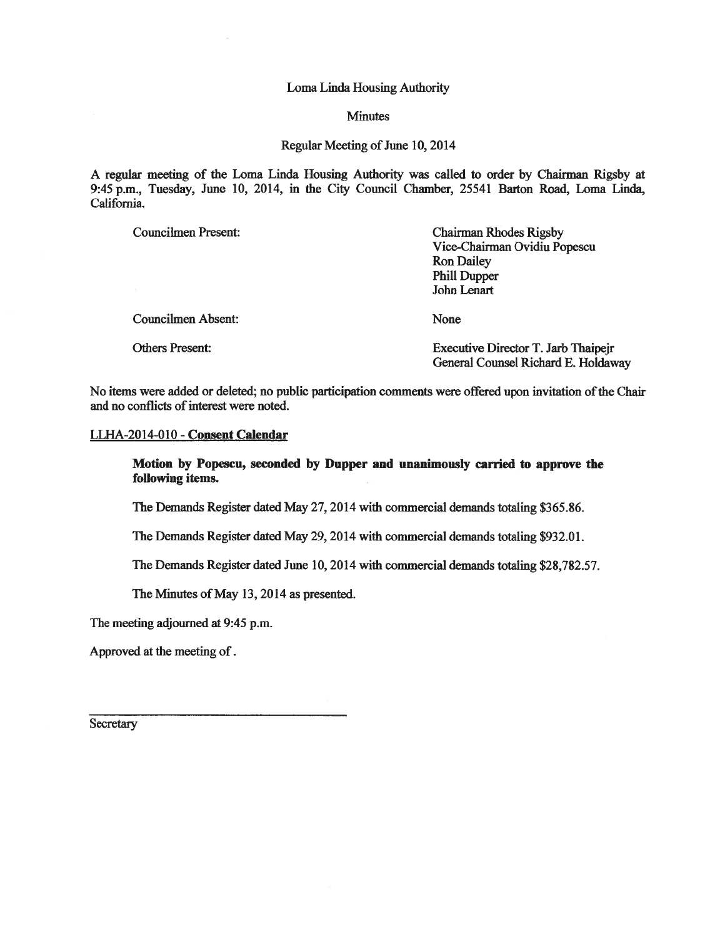### Loma Linda Housing Authority

### **Minutes**

### Regular Meeting of June 10, 2014

A regular meeting of the Loma Linda Housing Authority was called to order by Chairman Rigsby at 9:45 p.m., Tuesday, June 10, 2014, in the City Council Chamber, 25541 Barton Road, Loma Linda, California.

| <b>Councilmen Present:</b> | <b>Chairman Rhodes Rigsby</b><br>Vice-Chairman Ovidiu Popescu<br><b>Ron Dailey</b><br><b>Phill Dupper</b><br>John Lenart |
|----------------------------|--------------------------------------------------------------------------------------------------------------------------|
| <b>Councilmen Absent:</b>  | None                                                                                                                     |
| <b>Others Present:</b>     | Executive Director T. Jarb Thaipeir<br>General Counsel Richard E. Holdaway                                               |

No items were added or deleted; no public participation comments were offered upon invitation of the Chair and no conflicts of interest were noted.

## LLHA-2014-010 - Consent Calendar

## Motion by Popescu, seconded by Dupper and unanimously carried to approve the following items.

The Demands Register dated May 27, 2014 with commercial demands totaling \$365.86.

The Demands Register dated May 29, 2014 with commercial demands totaling \$932.01.

The Demands Register dated June 10, 2014 with commercial demands totaling \$28,782.57.

The Minutes of May 13, 2014 as presented.

The meeting adjourned at 9:45 p.m.

Approved at the meeting of.

Secretary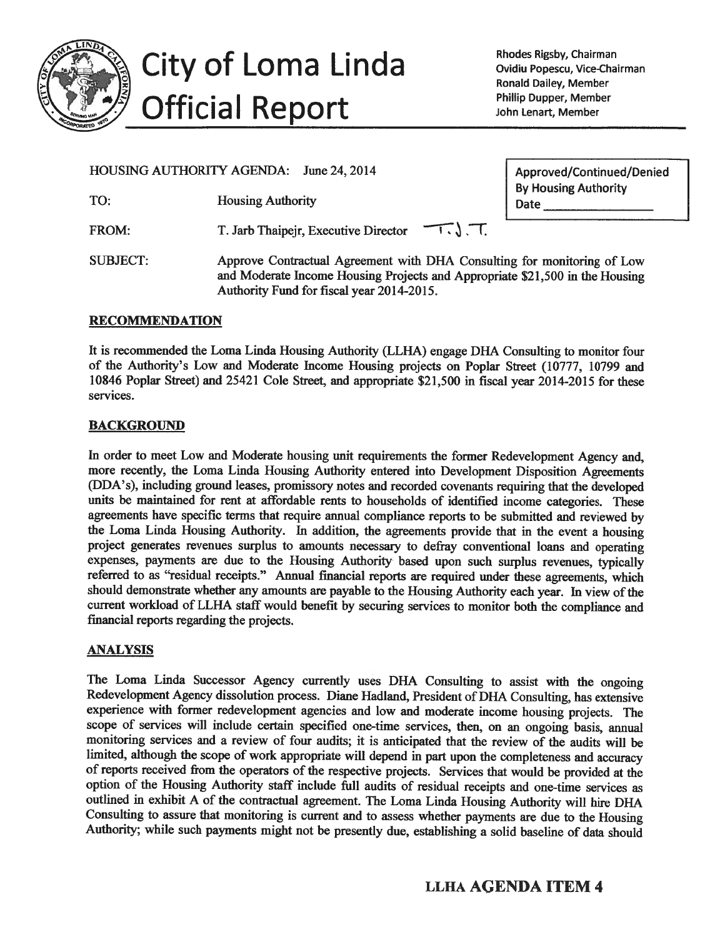

City of Loma Linda **Official Report** 

Rhodes Rigsby, Chairman Ovidiu Popescu, Vice-Chairman **Ronald Dailey, Member** Phillip Dupper, Member John Lenart, Member

HOUSING AUTHORITY AGENDA: June 24, 2014

TO: **Housing Authority** 

FROM: T. Jarb Thaipejr, Executive Director Approved/Continued/Denied **By Housing Authority** Date

**SUBJECT:** Approve Contractual Agreement with DHA Consulting for monitoring of Low and Moderate Income Housing Projects and Appropriate \$21,500 in the Housing Authority Fund for fiscal year 2014-2015.

 $-\tau$ ,  $\tau$ .

# **RECOMMENDATION**

It is recommended the Loma Linda Housing Authority (LLHA) engage DHA Consulting to monitor four of the Authority's Low and Moderate Income Housing projects on Poplar Street (10777, 10799 and 10846 Poplar Street) and 25421 Cole Street, and appropriate \$21,500 in fiscal year 2014-2015 for these services.

# **BACKGROUND**

In order to meet Low and Moderate housing unit requirements the former Redevelopment Agency and, more recently, the Loma Linda Housing Authority entered into Development Disposition Agreements (DDA's), including ground leases, promissory notes and recorded covenants requiring that the developed units be maintained for rent at affordable rents to households of identified income categories. These agreements have specific terms that require annual compliance reports to be submitted and reviewed by the Loma Linda Housing Authority. In addition, the agreements provide that in the event a housing project generates revenues surplus to amounts necessary to defray conventional loans and operating expenses, payments are due to the Housing Authority based upon such surplus revenues, typically referred to as "residual receipts." Annual financial reports are required under these agreements, which should demonstrate whether any amounts are payable to the Housing Authority each year. In view of the current workload of LLHA staff would benefit by securing services to monitor both the compliance and financial reports regarding the projects.

# **ANALYSIS**

The Loma Linda Successor Agency currently uses DHA Consulting to assist with the ongoing Redevelopment Agency dissolution process. Diane Hadland, President of DHA Consulting, has extensive experience with former redevelopment agencies and low and moderate income housing projects. The scope of services will include certain specified one-time services, then, on an ongoing basis, annual monitoring services and a review of four audits; it is anticipated that the review of the audits will be limited, although the scope of work appropriate will depend in part upon the completeness and accuracy of reports received from the operators of the respective projects. Services that would be provided at the option of the Housing Authority staff include full audits of residual receipts and one-time services as outlined in exhibit A of the contractual agreement. The Loma Linda Housing Authority will hire DHA Consulting to assure that monitoring is current and to assess whether payments are due to the Housing Authority; while such payments might not be presently due, establishing a solid baseline of data should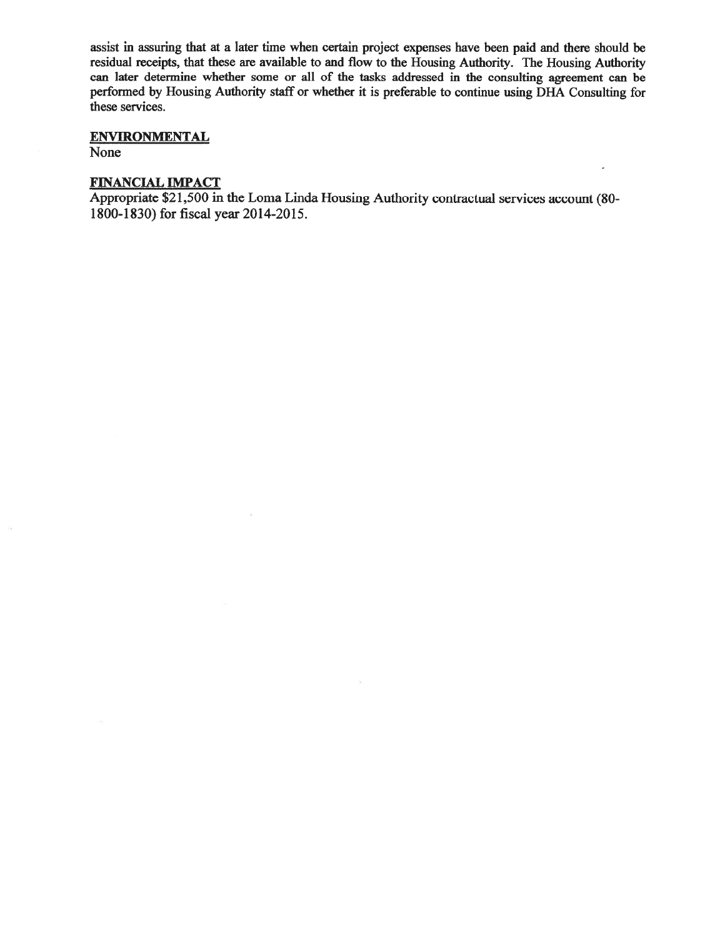assist in assuring that at a later time when certain project expenses have been paid and there should be residual receipts, that these are available to and flow to the Housing Authority. The Housing Authority can later determine whether some or all of the tasks addressed in the consulting agreement can be performed by Housing Authority staff or whether it is preferable to continue using DHA Consulting for these services.

# **ENVIRONMENTAL**

None

 $\tilde{\mathcal{L}}_{\mathbf{p}'}^{(i)}$ 

# **FINANCIAL IMPACT**

 $\overline{\omega}$ 

Appropriate \$21,500 in the Loma Linda Housing Authority contractual services account (80-1800-1830) for fiscal year 2014-2015.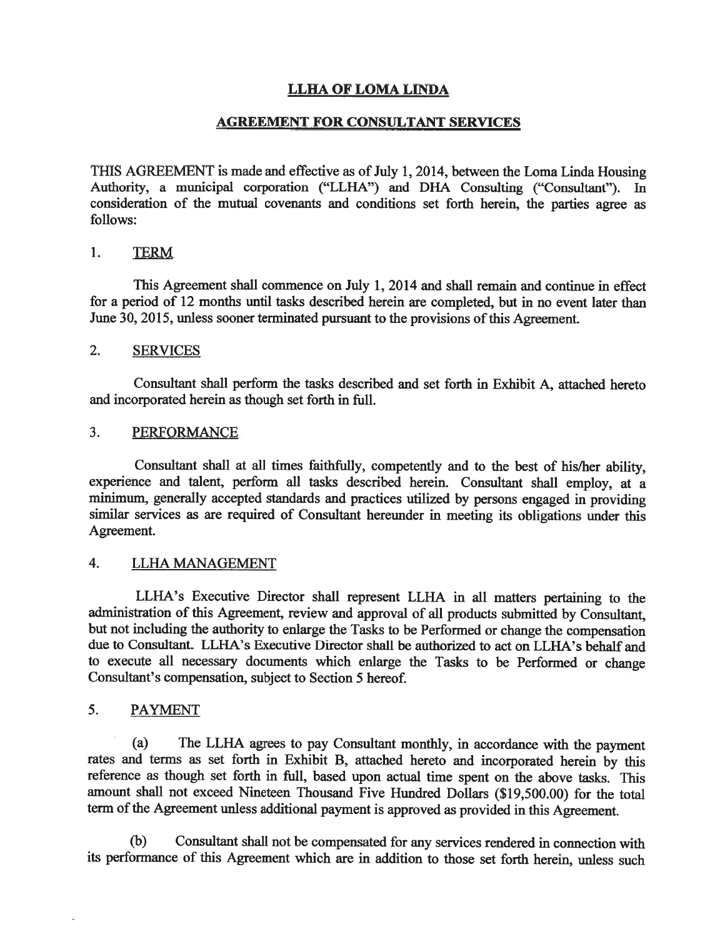# **LLHA OF LOMA LINDA**

# **AGREEMENT FOR CONSULTANT SERVICES**

THIS AGREEMENT is made and effective as of July 1, 2014, between the Loma Linda Housing Authority, a municipal corporation ("LLHA") and DHA Consulting ("Consultant"). In consideration of the mutual covenants and conditions set forth herein, the parties agree as follows:

#### 1. **TERM**

This Agreement shall commence on July 1, 2014 and shall remain and continue in effect for a period of 12 months until tasks described herein are completed, but in no event later than June 30, 2015, unless sooner terminated pursuant to the provisions of this Agreement.

#### $2.$ **SERVICES**

Consultant shall perform the tasks described and set forth in Exhibit A, attached hereto and incorporated herein as though set forth in full.

#### $3.$ **PERFORMANCE**

Consultant shall at all times faithfully, competently and to the best of his/her ability, experience and talent, perform all tasks described herein. Consultant shall employ, at a minimum, generally accepted standards and practices utilized by persons engaged in providing similar services as are required of Consultant hereunder in meeting its obligations under this Agreement.

#### $\overline{4}$ . LLHA MANAGEMENT

LLHA's Executive Director shall represent LLHA in all matters pertaining to the administration of this Agreement, review and approval of all products submitted by Consultant. but not including the authority to enlarge the Tasks to be Performed or change the compensation due to Consultant. LLHA's Executive Director shall be authorized to act on LLHA's behalf and to execute all necessary documents which enlarge the Tasks to be Performed or change Consultant's compensation, subject to Section 5 hereof.

#### 5. **PAYMENT**

 $(a)$ The LLHA agrees to pay Consultant monthly, in accordance with the payment rates and terms as set forth in Exhibit B, attached hereto and incorporated herein by this reference as though set forth in full, based upon actual time spent on the above tasks. This amount shall not exceed Nineteen Thousand Five Hundred Dollars (\$19,500.00) for the total term of the Agreement unless additional payment is approved as provided in this Agreement.

Consultant shall not be compensated for any services rendered in connection with  $(b)$ its performance of this Agreement which are in addition to those set forth herein, unless such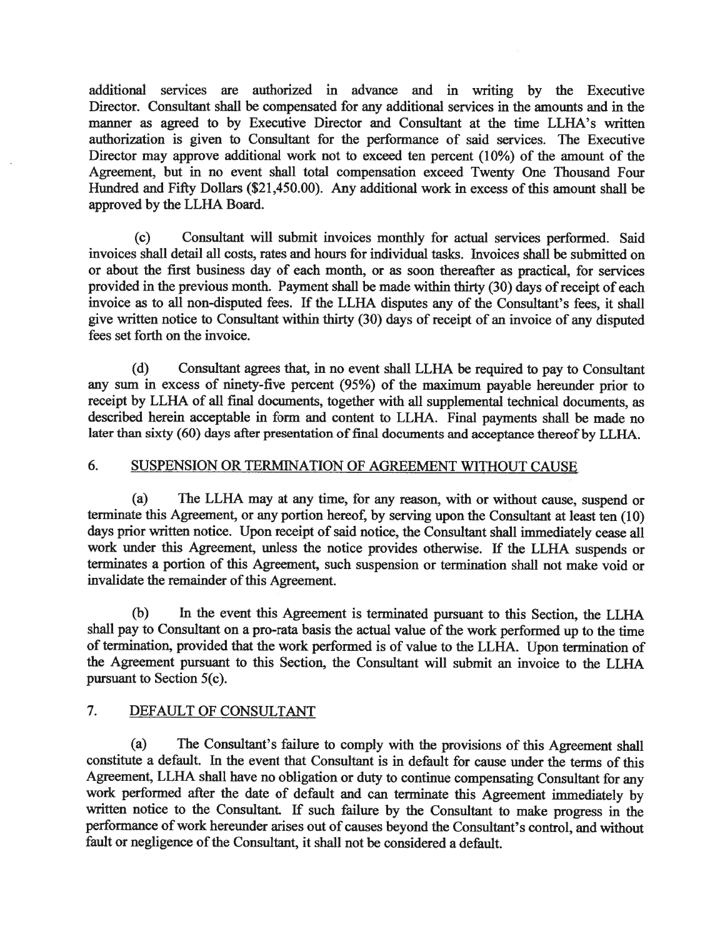additional services are authorized in advance and in writing by the Executive Director. Consultant shall be compensated for any additional services in the amounts and in the manner as agreed to by Executive Director and Consultant at the time LLHA's written authorization is given to Consultant for the performance of said services. The Executive Director may approve additional work not to exceed ten percent (10%) of the amount of the Agreement, but in no event shall total compensation exceed Twenty One Thousand Four Hundred and Fifty Dollars (\$21,450.00). Any additional work in excess of this amount shall be approved by the LLHA Board.

 $(c)$ Consultant will submit invoices monthly for actual services performed. Said invoices shall detail all costs, rates and hours for individual tasks. Invoices shall be submitted on or about the first business day of each month, or as soon thereafter as practical, for services provided in the previous month. Payment shall be made within thirty (30) days of receipt of each invoice as to all non-disputed fees. If the LLHA disputes any of the Consultant's fees, it shall give written notice to Consultant within thirty (30) days of receipt of an invoice of any disputed fees set forth on the invoice.

Consultant agrees that, in no event shall LLHA be required to pay to Consultant (d) any sum in excess of ninety-five percent (95%) of the maximum payable hereunder prior to receipt by LLHA of all final documents, together with all supplemental technical documents, as described herein acceptable in form and content to LLHA. Final payments shall be made no later than sixty (60) days after presentation of final documents and acceptance thereof by LLHA.

#### 6. SUSPENSION OR TERMINATION OF AGREEMENT WITHOUT CAUSE

 $(a)$ The LLHA may at any time, for any reason, with or without cause, suspend or terminate this Agreement, or any portion hereof, by serving upon the Consultant at least ten (10) days prior written notice. Upon receipt of said notice, the Consultant shall immediately cease all work under this Agreement, unless the notice provides otherwise. If the LLHA suspends or terminates a portion of this Agreement, such suspension or termination shall not make void or invalidate the remainder of this Agreement.

In the event this Agreement is terminated pursuant to this Section, the LLHA (b) shall pay to Consultant on a pro-rata basis the actual value of the work performed up to the time of termination, provided that the work performed is of value to the LLHA. Upon termination of the Agreement pursuant to this Section, the Consultant will submit an invoice to the LLHA pursuant to Section 5(c).

#### $7.$ DEFAULT OF CONSULTANT

The Consultant's failure to comply with the provisions of this Agreement shall  $(a)$ constitute a default. In the event that Consultant is in default for cause under the terms of this Agreement, LLHA shall have no obligation or duty to continue compensating Consultant for any work performed after the date of default and can terminate this Agreement immediately by written notice to the Consultant. If such failure by the Consultant to make progress in the performance of work hereunder arises out of causes beyond the Consultant's control, and without fault or negligence of the Consultant, it shall not be considered a default.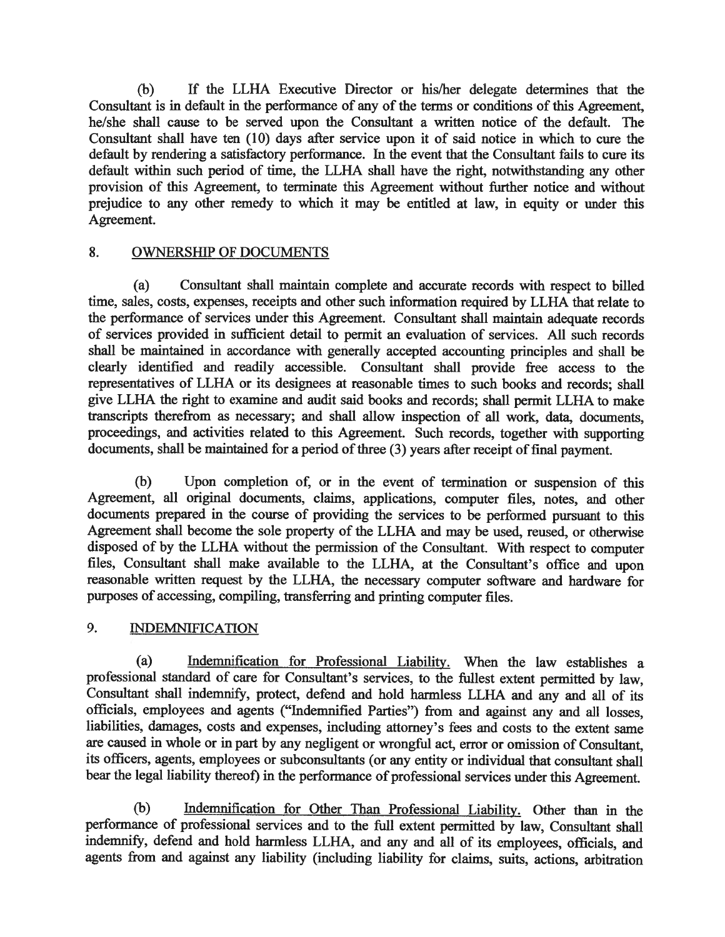$(b)$ If the LLHA Executive Director or his/her delegate determines that the Consultant is in default in the performance of any of the terms or conditions of this Agreement, he/she shall cause to be served upon the Consultant a written notice of the default. The Consultant shall have ten (10) days after service upon it of said notice in which to cure the default by rendering a satisfactory performance. In the event that the Consultant fails to cure its default within such period of time, the LLHA shall have the right, notwithstanding any other provision of this Agreement, to terminate this Agreement without further notice and without prejudice to any other remedy to which it may be entitled at law, in equity or under this Agreement.

#### 8. **OWNERSHIP OF DOCUMENTS**

 $(a)$ Consultant shall maintain complete and accurate records with respect to billed time, sales, costs, expenses, receipts and other such information required by LLHA that relate to the performance of services under this Agreement. Consultant shall maintain adequate records of services provided in sufficient detail to permit an evaluation of services. All such records shall be maintained in accordance with generally accepted accounting principles and shall be clearly identified and readily accessible. Consultant shall provide free access to the representatives of LLHA or its designees at reasonable times to such books and records; shall give LLHA the right to examine and audit said books and records; shall permit LLHA to make transcripts therefrom as necessary; and shall allow inspection of all work, data, documents, proceedings, and activities related to this Agreement. Such records, together with supporting documents, shall be maintained for a period of three (3) years after receipt of final payment.

 $(b)$ Upon completion of, or in the event of termination or suspension of this Agreement, all original documents, claims, applications, computer files, notes, and other documents prepared in the course of providing the services to be performed pursuant to this Agreement shall become the sole property of the LLHA and may be used, reused, or otherwise disposed of by the LLHA without the permission of the Consultant. With respect to computer files, Consultant shall make available to the LLHA, at the Consultant's office and upon reasonable written request by the LLHA, the necessary computer software and hardware for purposes of accessing, compiling, transferring and printing computer files.

#### 9. **INDEMNIFICATION**

 $(a)$ Indemnification for Professional Liability. When the law establishes a professional standard of care for Consultant's services, to the fullest extent permitted by law, Consultant shall indemnify, protect, defend and hold harmless LLHA and any and all of its officials, employees and agents ("Indemnified Parties") from and against any and all losses. liabilities, damages, costs and expenses, including attorney's fees and costs to the extent same are caused in whole or in part by any negligent or wrongful act, error or omission of Consultant, its officers, agents, employees or subconsultants (or any entity or individual that consultant shall bear the legal liability thereof) in the performance of professional services under this Agreement.

 $(b)$ Indemnification for Other Than Professional Liability. Other than in the performance of professional services and to the full extent permitted by law, Consultant shall indemnify, defend and hold harmless LLHA, and any and all of its employees, officials, and agents from and against any liability (including liability for claims, suits, actions, arbitration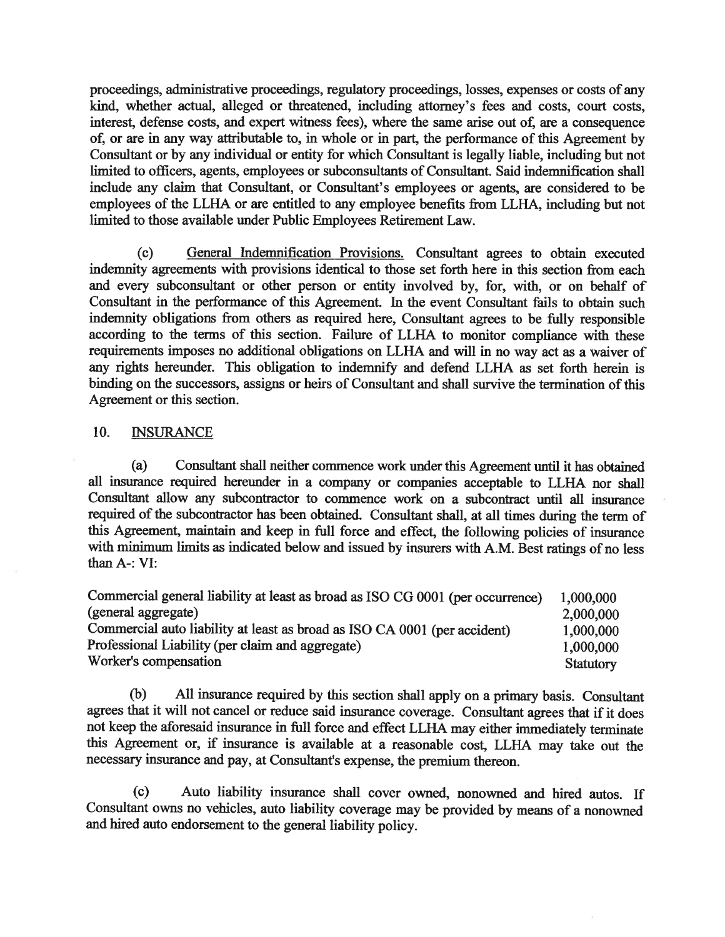proceedings, administrative proceedings, regulatory proceedings, losses, expenses or costs of any kind, whether actual, alleged or threatened, including attorney's fees and costs, court costs, interest, defense costs, and expert witness fees), where the same arise out of, are a consequence of, or are in any way attributable to, in whole or in part, the performance of this Agreement by Consultant or by any individual or entity for which Consultant is legally liable, including but not limited to officers, agents, employees or subconsultants of Consultant. Said indemnification shall include any claim that Consultant, or Consultant's employees or agents, are considered to be employees of the LLHA or are entitled to any employee benefits from LLHA, including but not limited to those available under Public Employees Retirement Law.

General Indemnification Provisions. Consultant agrees to obtain executed  $(c)$ indemnity agreements with provisions identical to those set forth here in this section from each and every subconsultant or other person or entity involved by, for, with, or on behalf of Consultant in the performance of this Agreement. In the event Consultant fails to obtain such indemnity obligations from others as required here, Consultant agrees to be fully responsible according to the terms of this section. Failure of LLHA to monitor compliance with these requirements imposes no additional obligations on LLHA and will in no way act as a waiver of any rights hereunder. This obligation to indemnify and defend LLHA as set forth herein is binding on the successors, assigns or heirs of Consultant and shall survive the termination of this Agreement or this section.

#### 10. **INSURANCE**

 $(a)$ Consultant shall neither commence work under this Agreement until it has obtained all insurance required hereunder in a company or companies acceptable to LLHA nor shall Consultant allow any subcontractor to commence work on a subcontract until all insurance required of the subcontractor has been obtained. Consultant shall, at all times during the term of this Agreement, maintain and keep in full force and effect, the following policies of insurance with minimum limits as indicated below and issued by insurers with A.M. Best ratings of no less than A-: VI:

| Commercial general liability at least as broad as ISO CG 0001 (per occurrence) | 1,000,000 |
|--------------------------------------------------------------------------------|-----------|
| (general aggregate)                                                            | 2,000,000 |
| Commercial auto liability at least as broad as ISO CA 0001 (per accident)      | 1,000,000 |
| Professional Liability (per claim and aggregate)                               | 1,000,000 |
| Worker's compensation                                                          | Statutory |

(b) All insurance required by this section shall apply on a primary basis. Consultant agrees that it will not cancel or reduce said insurance coverage. Consultant agrees that if it does not keep the aforesaid insurance in full force and effect LLHA may either immediately terminate this Agreement or, if insurance is available at a reasonable cost, LLHA may take out the necessary insurance and pay, at Consultant's expense, the premium thereon.

Auto liability insurance shall cover owned, nonowned and hired autos. If  $(c)$ Consultant owns no vehicles, auto liability coverage may be provided by means of a nonowned and hired auto endorsement to the general liability policy.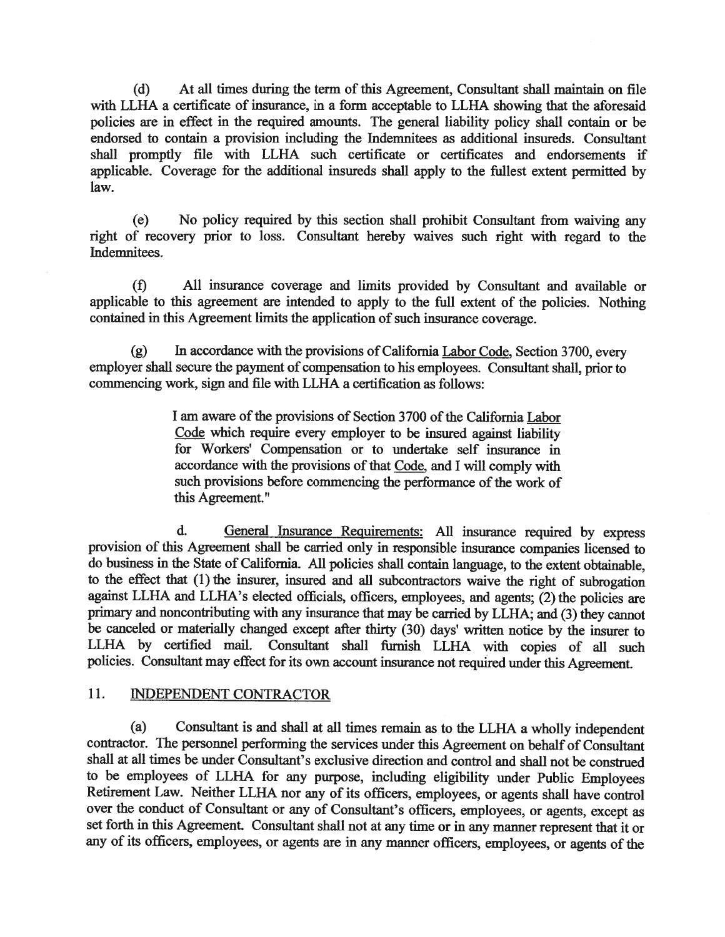$(d)$ At all times during the term of this Agreement, Consultant shall maintain on file with LLHA a certificate of insurance, in a form acceptable to LLHA showing that the aforesaid policies are in effect in the required amounts. The general liability policy shall contain or be endorsed to contain a provision including the Indemnitees as additional insureds. Consultant shall promptly file with LLHA such certificate or certificates and endorsements if applicable. Coverage for the additional insureds shall apply to the fullest extent permitted by law.

No policy required by this section shall prohibit Consultant from waiving any (e) right of recovery prior to loss. Consultant hereby waives such right with regard to the Indemnitees.

 $(f)$ All insurance coverage and limits provided by Consultant and available or applicable to this agreement are intended to apply to the full extent of the policies. Nothing contained in this Agreement limits the application of such insurance coverage.

In accordance with the provisions of California Labor Code, Section 3700, every  $(g)$ employer shall secure the payment of compensation to his employees. Consultant shall, prior to commencing work, sign and file with LLHA a certification as follows:

> I am aware of the provisions of Section 3700 of the California Labor Code which require every employer to be insured against liability for Workers' Compensation or to undertake self insurance in accordance with the provisions of that Code, and I will comply with such provisions before commencing the performance of the work of this Agreement."

 $\mathbf{d}$ . General Insurance Requirements: All insurance required by express provision of this Agreement shall be carried only in responsible insurance companies licensed to do business in the State of California. All policies shall contain language, to the extent obtainable, to the effect that (1) the insurer, insured and all subcontractors waive the right of subrogation against LLHA and LLHA's elected officials, officers, employees, and agents; (2) the policies are primary and noncontributing with any insurance that may be carried by LLHA; and (3) they cannot be canceled or materially changed except after thirty (30) days' written notice by the insurer to LLHA by certified mail. Consultant shall furnish LLHA with copies of all such policies. Consultant may effect for its own account insurance not required under this Agreement.

#### $11.$ **INDEPENDENT CONTRACTOR**

 $(a)$ Consultant is and shall at all times remain as to the LLHA a wholly independent contractor. The personnel performing the services under this Agreement on behalf of Consultant shall at all times be under Consultant's exclusive direction and control and shall not be construed to be employees of LLHA for any purpose, including eligibility under Public Employees Retirement Law. Neither LLHA nor any of its officers, employees, or agents shall have control over the conduct of Consultant or any of Consultant's officers, employees, or agents, except as set forth in this Agreement. Consultant shall not at any time or in any manner represent that it or any of its officers, employees, or agents are in any manner officers, employees, or agents of the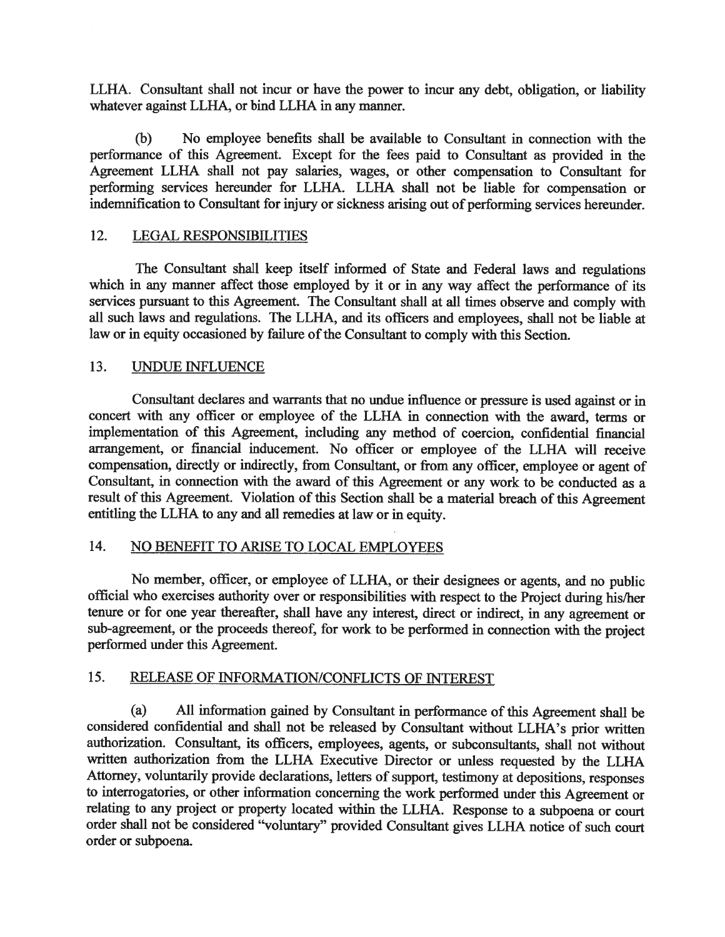LLHA. Consultant shall not incur or have the power to incur any debt, obligation, or liability whatever against LLHA, or bind LLHA in any manner.

 $(b)$ No employee benefits shall be available to Consultant in connection with the performance of this Agreement. Except for the fees paid to Consultant as provided in the Agreement LLHA shall not pay salaries, wages, or other compensation to Consultant for performing services hereunder for LLHA. LLHA shall not be liable for compensation or indemnification to Consultant for injury or sickness arising out of performing services hereunder.

#### 12. **LEGAL RESPONSIBILITIES**

The Consultant shall keep itself informed of State and Federal laws and regulations which in any manner affect those employed by it or in any way affect the performance of its services pursuant to this Agreement. The Consultant shall at all times observe and comply with all such laws and regulations. The LLHA, and its officers and employees, shall not be liable at law or in equity occasioned by failure of the Consultant to comply with this Section.

#### 13. **UNDUE INFLUENCE**

Consultant declares and warrants that no undue influence or pressure is used against or in concert with any officer or employee of the LLHA in connection with the award, terms or implementation of this Agreement, including any method of coercion, confidential financial arrangement, or financial inducement. No officer or employee of the LLHA will receive compensation, directly or indirectly, from Consultant, or from any officer, employee or agent of Consultant, in connection with the award of this Agreement or any work to be conducted as a result of this Agreement. Violation of this Section shall be a material breach of this Agreement entitling the LLHA to any and all remedies at law or in equity.

#### 14. NO BENEFIT TO ARISE TO LOCAL EMPLOYEES

No member, officer, or employee of LLHA, or their designees or agents, and no public official who exercises authority over or responsibilities with respect to the Project during his/her tenure or for one year thereafter, shall have any interest, direct or indirect, in any agreement or sub-agreement, or the proceeds thereof, for work to be performed in connection with the project performed under this Agreement.

#### 15. **RELEASE OF INFORMATION/CONFLICTS OF INTEREST**

 $(a)$ All information gained by Consultant in performance of this Agreement shall be considered confidential and shall not be released by Consultant without LLHA's prior written authorization. Consultant, its officers, employees, agents, or subconsultants, shall not without written authorization from the LLHA Executive Director or unless requested by the LLHA Attorney, voluntarily provide declarations, letters of support, testimony at depositions, responses to interrogatories, or other information concerning the work performed under this Agreement or relating to any project or property located within the LLHA. Response to a subpoena or court order shall not be considered "voluntary" provided Consultant gives LLHA notice of such court order or subpoena.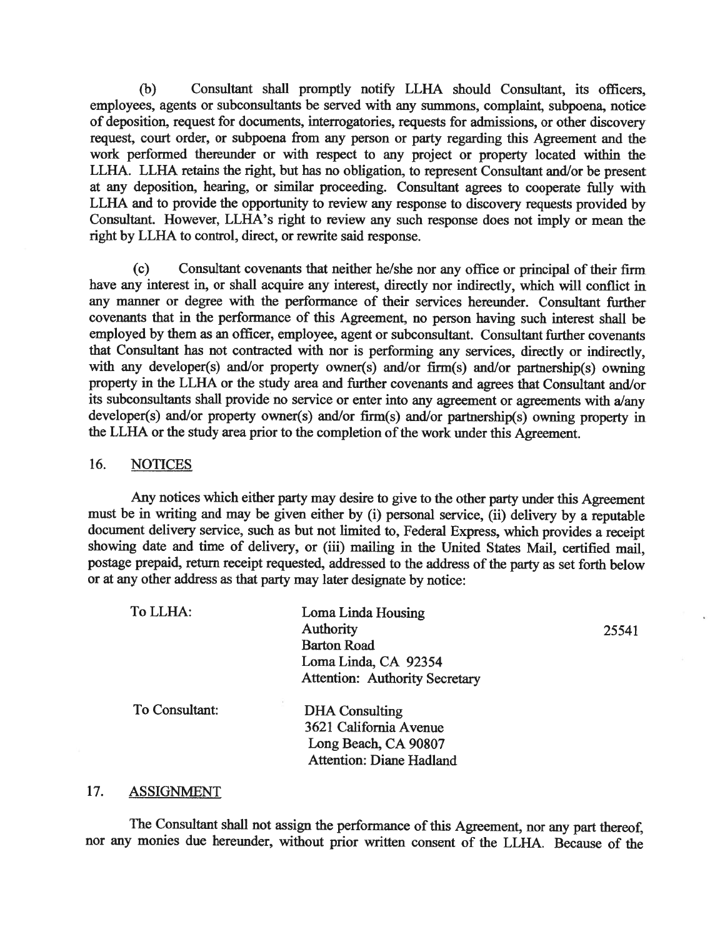$(b)$ Consultant shall promptly notify LLHA should Consultant, its officers, employees, agents or subconsultants be served with any summons, complaint, subpoena, notice of deposition, request for documents, interrogatories, requests for admissions, or other discovery request, court order, or subpoena from any person or party regarding this Agreement and the work performed thereunder or with respect to any project or property located within the LLHA. LLHA retains the right, but has no obligation, to represent Consultant and/or be present at any deposition, hearing, or similar proceeding. Consultant agrees to cooperate fully with LLHA and to provide the opportunity to review any response to discovery requests provided by Consultant. However, LLHA's right to review any such response does not imply or mean the right by LLHA to control, direct, or rewrite said response.

Consultant covenants that neither he/she nor any office or principal of their firm  $(c)$ have any interest in, or shall acquire any interest, directly nor indirectly, which will conflict in any manner or degree with the performance of their services hereunder. Consultant further covenants that in the performance of this Agreement, no person having such interest shall be employed by them as an officer, employee, agent or subconsultant. Consultant further covenants that Consultant has not contracted with nor is performing any services, directly or indirectly, with any developer(s) and/or property owner(s) and/or firm(s) and/or partnership(s) owning property in the LLHA or the study area and further covenants and agrees that Consultant and/or its subconsultants shall provide no service or enter into any agreement or agreements with a/any developer(s) and/or property owner(s) and/or firm(s) and/or partnership(s) owning property in the LLHA or the study area prior to the completion of the work under this Agreement.

#### 16. **NOTICES**

Any notices which either party may desire to give to the other party under this Agreement must be in writing and may be given either by (i) personal service, (ii) delivery by a reputable document delivery service, such as but not limited to, Federal Express, which provides a receipt showing date and time of delivery, or (iii) mailing in the United States Mail, certified mail, postage prepaid, return receipt requested, addressed to the address of the party as set forth below or at any other address as that party may later designate by notice:

| To LLHA:       | Loma Linda Housing                    |       |
|----------------|---------------------------------------|-------|
|                | Authority                             | 25541 |
|                | <b>Barton Road</b>                    |       |
|                | Loma Linda, CA 92354                  |       |
|                | <b>Attention: Authority Secretary</b> |       |
| To Consultant: | <b>DHA</b> Consulting                 |       |
|                | 3621 California Avenue                |       |
|                | Long Beach, CA 90807                  |       |
|                | <b>Attention: Diane Hadland</b>       |       |

#### 17. **ASSIGNMENT**

The Consultant shall not assign the performance of this Agreement, nor any part thereof, nor any monies due hereunder, without prior written consent of the LLHA. Because of the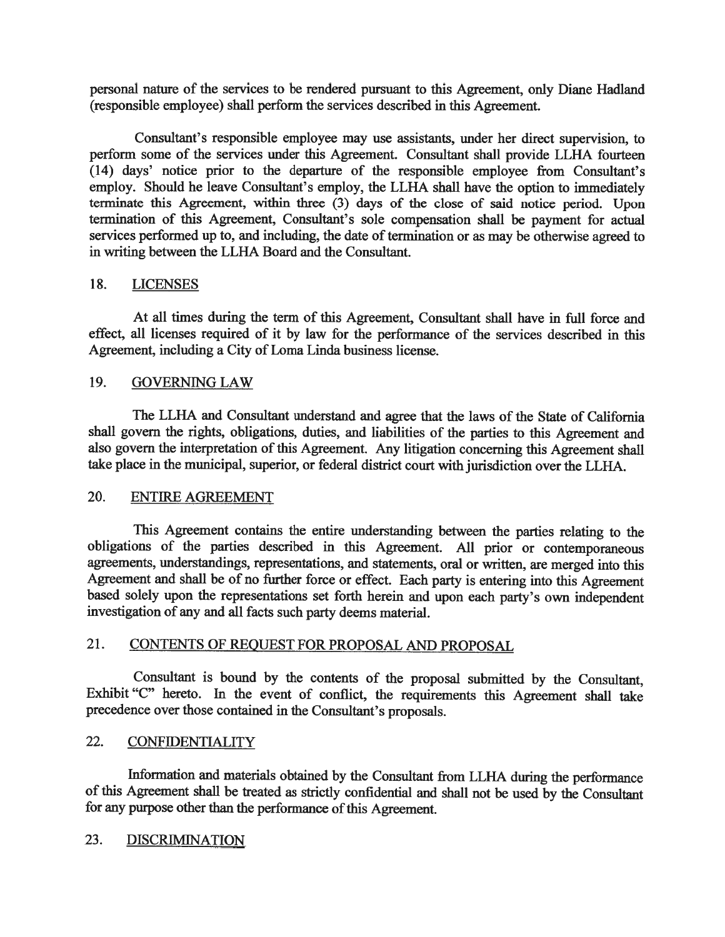personal nature of the services to be rendered pursuant to this Agreement, only Diane Hadland (responsible employee) shall perform the services described in this Agreement.

Consultant's responsible employee may use assistants, under her direct supervision, to perform some of the services under this Agreement. Consultant shall provide LLHA fourteen (14) days' notice prior to the departure of the responsible employee from Consultant's employ. Should he leave Consultant's employ, the LLHA shall have the option to immediately terminate this Agreement, within three  $(3)$  days of the close of said notice period. Upon termination of this Agreement, Consultant's sole compensation shall be payment for actual services performed up to, and including, the date of termination or as may be otherwise agreed to in writing between the LLHA Board and the Consultant.

#### 18. **LICENSES**

At all times during the term of this Agreement, Consultant shall have in full force and effect, all licenses required of it by law for the performance of the services described in this Agreement, including a City of Loma Linda business license.

#### 19. **GOVERNING LAW**

The LLHA and Consultant understand and agree that the laws of the State of California shall govern the rights, obligations, duties, and liabilities of the parties to this Agreement and also govern the interpretation of this Agreement. Any litigation concerning this Agreement shall take place in the municipal, superior, or federal district court with jurisdiction over the LLHA.

#### 20. **ENTIRE AGREEMENT**

This Agreement contains the entire understanding between the parties relating to the obligations of the parties described in this Agreement. All prior or contemporaneous agreements, understandings, representations, and statements, oral or written, are merged into this Agreement and shall be of no further force or effect. Each party is entering into this Agreement based solely upon the representations set forth herein and upon each party's own independent investigation of any and all facts such party deems material.

#### 21. CONTENTS OF REQUEST FOR PROPOSAL AND PROPOSAL

Consultant is bound by the contents of the proposal submitted by the Consultant, Exhibit "C" hereto. In the event of conflict, the requirements this Agreement shall take precedence over those contained in the Consultant's proposals.

#### 22. **CONFIDENTIALITY**

Information and materials obtained by the Consultant from LLHA during the performance of this Agreement shall be treated as strictly confidential and shall not be used by the Consultant for any purpose other than the performance of this Agreement.

#### 23. **DISCRIMINATION**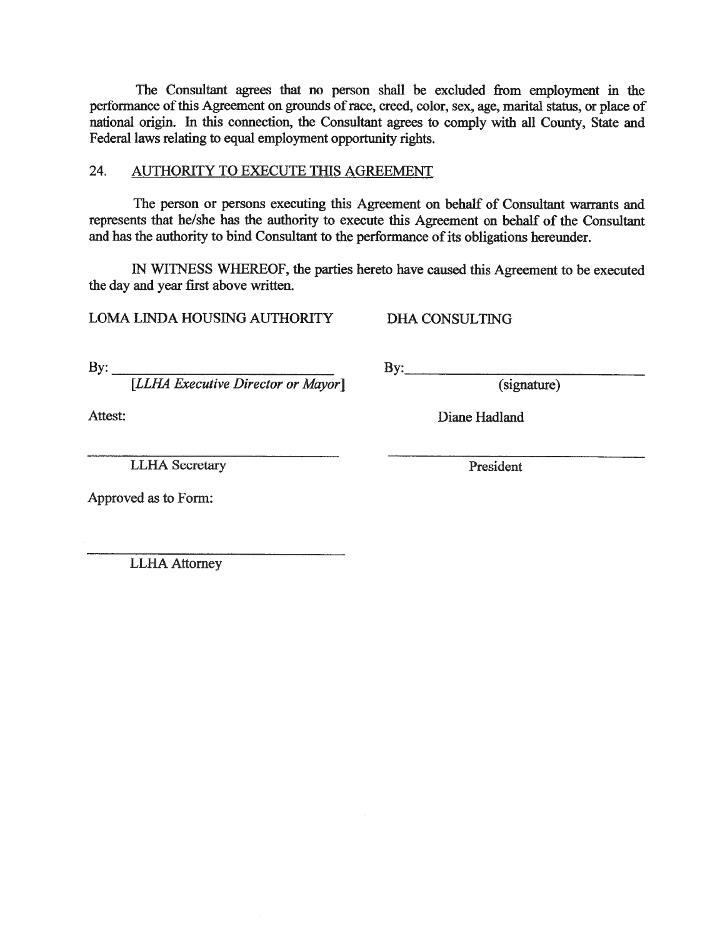The Consultant agrees that no person shall be excluded from employment in the performance of this Agreement on grounds of race, creed, color, sex, age, marital status, or place of national origin. In this connection, the Consultant agrees to comply with all County, State and Federal laws relating to equal employment opportunity rights.

#### 24. AUTHORITY TO EXECUTE THIS AGREEMENT

The person or persons executing this Agreement on behalf of Consultant warrants and represents that he/she has the authority to execute this Agreement on behalf of the Consultant and has the authority to bind Consultant to the performance of its obligations hereunder.

IN WITNESS WHEREOF, the parties hereto have caused this Agreement to be executed the day and year first above written.

 $\mathbf{By:}$ 

LOMA LINDA HOUSING AUTHORITY

**DHA CONSULTING** 

By:  $\overline{\phantom{a}}$ 

[LLHA Executive Director or Mayor]

(signature)

Attest:

**LLHA** Secretary

President

Diane Hadland

Approved as to Form:

**LLHA Attorney**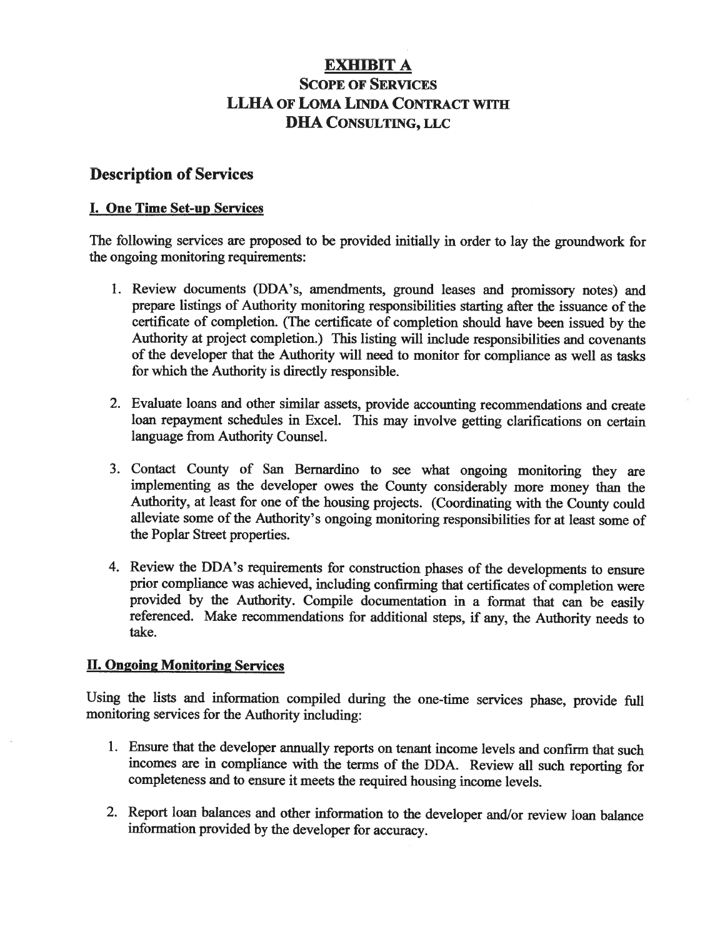# **EXHIBIT A SCOPE OF SERVICES** LLHA OF LOMA LINDA CONTRACT WITH **DHA CONSULTING, LLC**

# **Description of Services**

# I. One Time Set-up Services

The following services are proposed to be provided initially in order to lay the groundwork for the ongoing monitoring requirements:

- 1. Review documents (DDA's, amendments, ground leases and promissory notes) and prepare listings of Authority monitoring responsibilities starting after the issuance of the certificate of completion. (The certificate of completion should have been issued by the Authority at project completion.) This listing will include responsibilities and covenants of the developer that the Authority will need to monitor for compliance as well as tasks for which the Authority is directly responsible.
- 2. Evaluate loans and other similar assets, provide accounting recommendations and create loan repayment schedules in Excel. This may involve getting clarifications on certain language from Authority Counsel.
- 3. Contact County of San Bernardino to see what ongoing monitoring they are implementing as the developer owes the County considerably more money than the Authority, at least for one of the housing projects. (Coordinating with the County could alleviate some of the Authority's ongoing monitoring responsibilities for at least some of the Poplar Street properties.
- 4. Review the DDA's requirements for construction phases of the developments to ensure prior compliance was achieved, including confirming that certificates of completion were provided by the Authority. Compile documentation in a format that can be easily referenced. Make recommendations for additional steps, if any, the Authority needs to take.

# **II. Ongoing Monitoring Services**

Using the lists and information compiled during the one-time services phase, provide full monitoring services for the Authority including:

- 1. Ensure that the developer annually reports on tenant income levels and confirm that such incomes are in compliance with the terms of the DDA. Review all such reporting for completeness and to ensure it meets the required housing income levels.
- 2. Report loan balances and other information to the developer and/or review loan balance information provided by the developer for accuracy.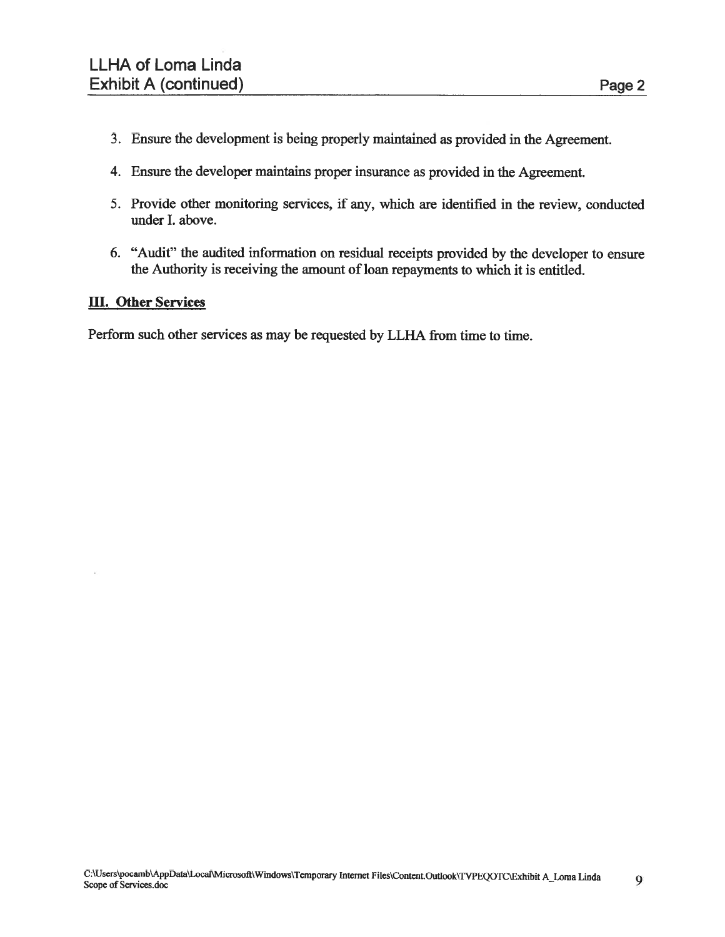- 3. Ensure the development is being properly maintained as provided in the Agreement.
- 4. Ensure the developer maintains proper insurance as provided in the Agreement.
- 5. Provide other monitoring services, if any, which are identified in the review, conducted under I. above.
- 6. "Audit" the audited information on residual receipts provided by the developer to ensure the Authority is receiving the amount of loan repayments to which it is entitled.

# **III.** Other Services

Perform such other services as may be requested by LLHA from time to time.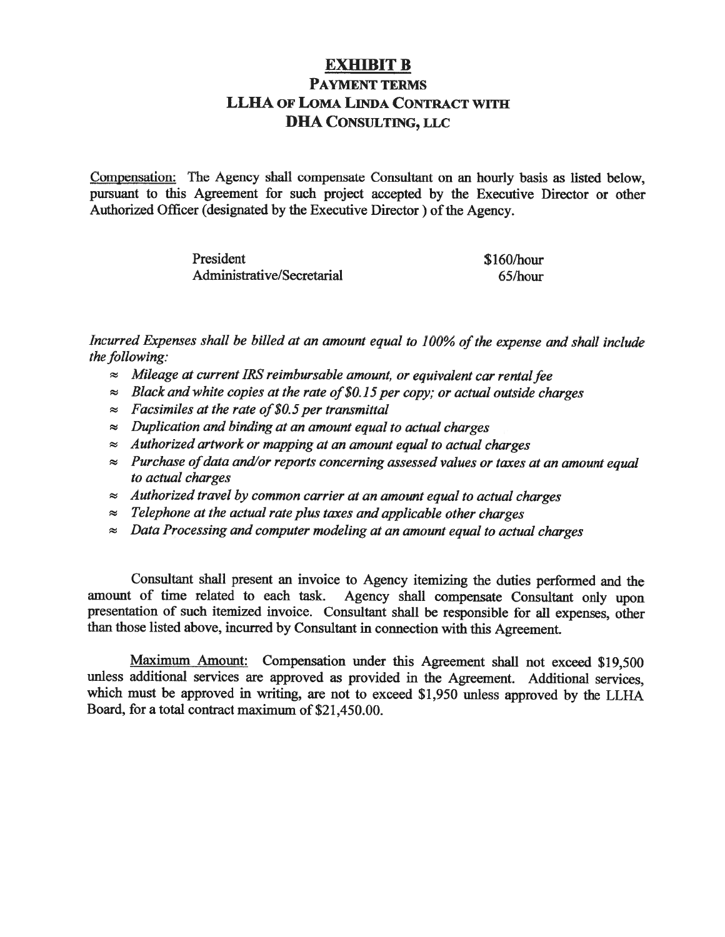# **EXHIBIT B PAYMENT TERMS LLHA OF LOMA LINDA CONTRACT WITH DHA CONSULTING, LLC**

Compensation: The Agency shall compensate Consultant on an hourly basis as listed below, pursuant to this Agreement for such project accepted by the Executive Director or other Authorized Officer (designated by the Executive Director) of the Agency.

| President                  | \$160/hour |
|----------------------------|------------|
| Administrative/Secretarial | 65/hour    |

Incurred Expenses shall be billed at an amount equal to 100% of the expense and shall include the following:

- $\approx$  Mileage at current IRS reimbursable amount, or equivalent car rental fee
- $\approx$  Black and white copies at the rate of \$0.15 per copy: or actual outside charges
- $\approx$  Facsimiles at the rate of \$0.5 per transmittal
- $\approx$  Duplication and binding at an amount equal to actual charges
- $\approx$  Authorized artwork or mapping at an amount equal to actual charges
- $\approx$  Purchase of data and/or reports concerning assessed values or taxes at an amount equal to actual charges
- $\approx$  Authorized travel by common carrier at an amount equal to actual charges
- $\approx$  Telephone at the actual rate plus taxes and applicable other charges
- $\approx$  Data Processing and computer modeling at an amount equal to actual charges

Consultant shall present an invoice to Agency itemizing the duties performed and the amount of time related to each task. Agency shall compensate Consultant only upon presentation of such itemized invoice. Consultant shall be responsible for all expenses, other than those listed above, incurred by Consultant in connection with this Agreement.

Maximum Amount: Compensation under this Agreement shall not exceed \$19,500 unless additional services are approved as provided in the Agreement. Additional services, which must be approved in writing, are not to exceed \$1,950 unless approved by the LLHA Board, for a total contract maximum of \$21,450.00.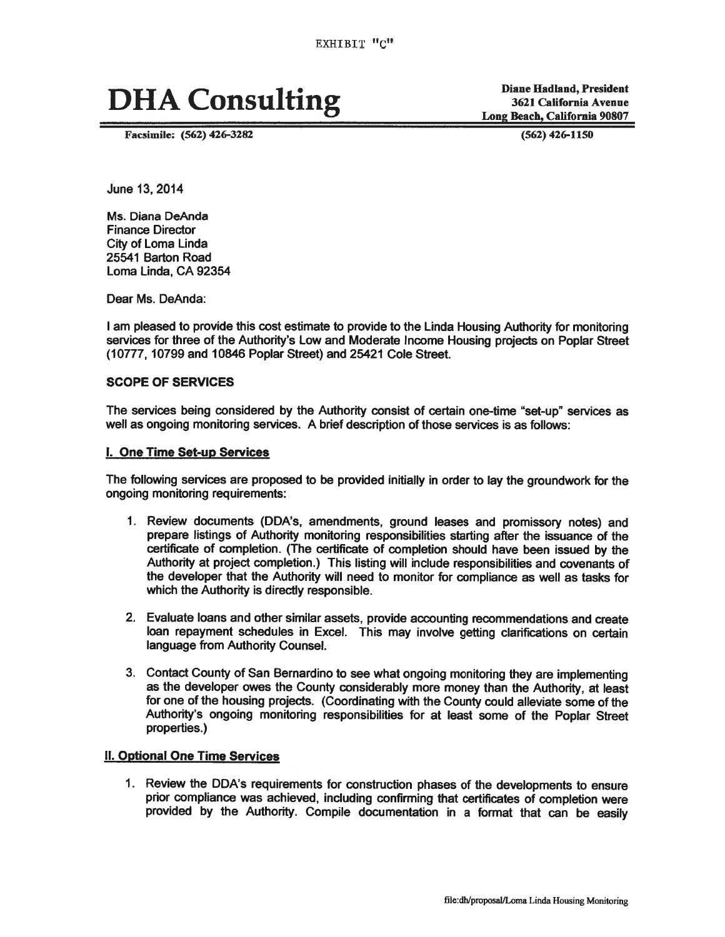# **DHA Consulting**

Facsimile: (562) 426-3282

**Diane Hadland, President 3621 California Avenue** Long Beach, California 90807

 $(562)$  426-1150

June 13, 2014

Ms. Diana DeAnda **Finance Director** City of Loma Linda 25541 Barton Road Loma Linda, CA 92354

Dear Ms. DeAnda:

I am pleased to provide this cost estimate to provide to the Linda Housing Authority for monitoring services for three of the Authority's Low and Moderate Income Housing projects on Poplar Street (10777, 10799 and 10846 Poplar Street) and 25421 Cole Street.

### **SCOPE OF SERVICES**

The services being considered by the Authority consist of certain one-time "set-up" services as well as ongoing monitoring services. A brief description of those services is as follows:

### I. One Time Set-up Services

The following services are proposed to be provided initially in order to lay the groundwork for the ongoing monitoring requirements:

- 1. Review documents (DDA's, amendments, ground leases and promissory notes) and prepare listings of Authority monitoring responsibilities starting after the issuance of the certificate of completion. (The certificate of completion should have been issued by the Authority at project completion.) This listing will include responsibilities and covenants of the developer that the Authority will need to monitor for compliance as well as tasks for which the Authority is directly responsible.
- 2. Evaluate loans and other similar assets, provide accounting recommendations and create loan repayment schedules in Excel. This may involve getting clarifications on certain language from Authority Counsel.
- 3. Contact County of San Bernardino to see what ongoing monitoring they are implementing as the developer owes the County considerably more money than the Authority, at least for one of the housing projects. (Coordinating with the County could alleviate some of the Authority's ongoing monitoring responsibilities for at least some of the Poplar Street properties.)

# **II. Optional One Time Services**

1. Review the DDA's requirements for construction phases of the developments to ensure prior compliance was achieved, including confirming that certificates of completion were provided by the Authority. Compile documentation in a format that can be easily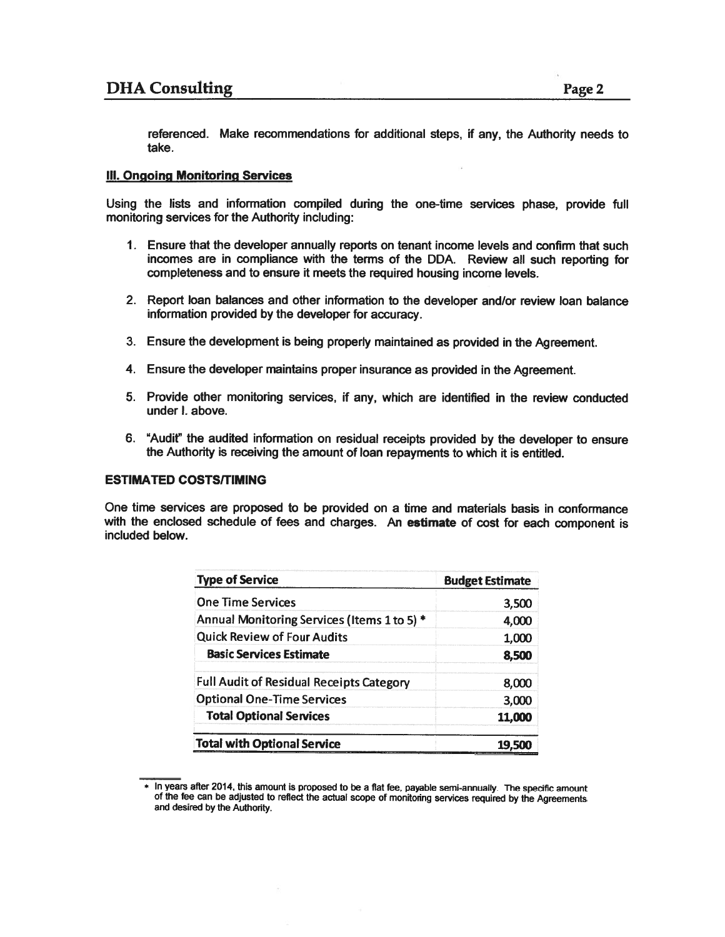referenced. Make recommendations for additional steps, if any, the Authority needs to take.

### **III. Ongoing Monitoring Services**

Using the lists and information compiled during the one-time services phase, provide full monitoring services for the Authority including:

- 1. Ensure that the developer annually reports on tenant income levels and confirm that such incomes are in compliance with the terms of the DDA. Review all such reporting for completeness and to ensure it meets the required housing income levels.
- 2. Report loan balances and other information to the developer and/or review loan balance information provided by the developer for accuracy.
- 3. Ensure the development is being properly maintained as provided in the Agreement.
- 4. Ensure the developer maintains proper insurance as provided in the Agreement.
- 5. Provide other monitoring services, if any, which are identified in the review conducted under I. above.
- 6. "Audit" the audited information on residual receipts provided by the developer to ensure the Authority is receiving the amount of loan repayments to which it is entitled.

### **ESTIMATED COSTS/TIMING**

One time services are proposed to be provided on a time and materials basis in conformance with the enclosed schedule of fees and charges. An estimate of cost for each component is included below.

| <b>Type of Service</b>                          | <b>Budget Estimate</b> |
|-------------------------------------------------|------------------------|
| <b>One Time Services</b>                        | 3,500                  |
| Annual Monitoring Services (Items 1 to 5) *     | 4,000                  |
| <b>Quick Review of Four Audits</b>              | 1,000                  |
| <b>Basic Services Estimate</b>                  | 8,500                  |
| <b>Full Audit of Residual Receipts Category</b> | 8.000                  |
| <b>Optional One-Time Services</b>               | 3,000                  |
| <b>Total Optional Services</b>                  | 11,000                 |
| <b>Total with Optional Service</b>              | 19.5                   |

<sup>\*</sup> In years after 2014, this amount is proposed to be a flat fee, payable semi-annually. The specific amount of the fee can be adjusted to reflect the actual scope of monitoring services required by the Agreements and desired by the Authority.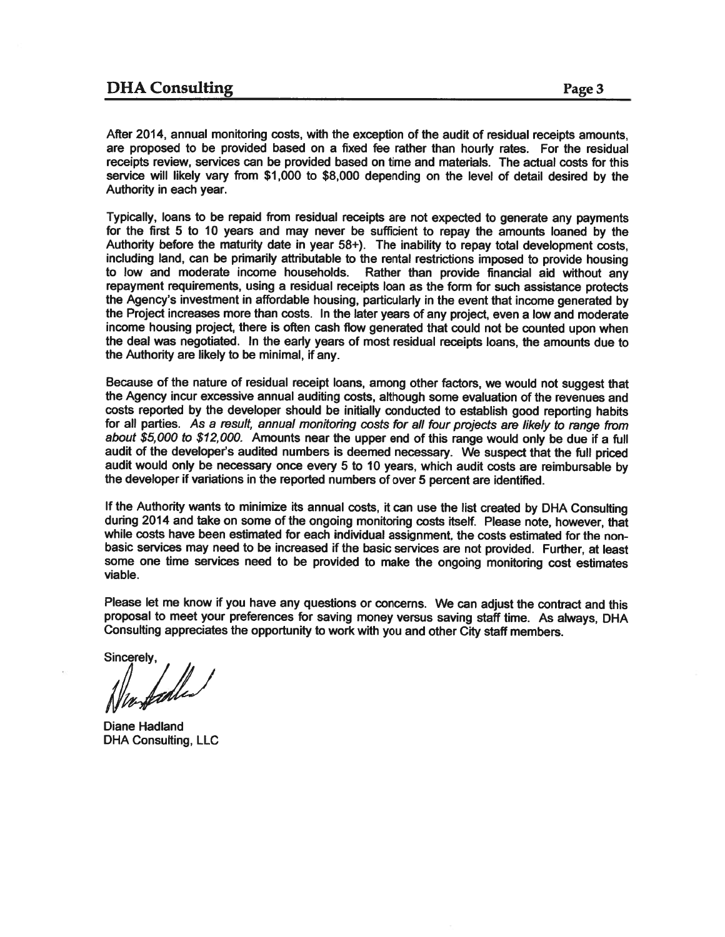# **DHA** Consulting

After 2014, annual monitoring costs, with the exception of the audit of residual receipts amounts. are proposed to be provided based on a fixed fee rather than hourly rates. For the residual receipts review, services can be provided based on time and materials. The actual costs for this service will likely vary from \$1,000 to \$8,000 depending on the level of detail desired by the Authority in each year.

Typically, loans to be repaid from residual receipts are not expected to generate any payments for the first 5 to 10 years and may never be sufficient to repay the amounts loaned by the Authority before the maturity date in year 58+). The inability to repay total development costs. including land, can be primarily attributable to the rental restrictions imposed to provide housing to low and moderate income households. Rather than provide financial aid without any repayment requirements, using a residual receipts loan as the form for such assistance protects the Agency's investment in affordable housing, particularly in the event that income generated by the Project increases more than costs. In the later years of any project, even a low and moderate income housing project, there is often cash flow generated that could not be counted upon when the deal was negotiated. In the early years of most residual receipts loans, the amounts due to the Authority are likely to be minimal, if any.

Because of the nature of residual receipt loans, among other factors, we would not suggest that the Agency incur excessive annual auditing costs, although some evaluation of the revenues and costs reported by the developer should be initially conducted to establish good reporting habits for all parties. As a result, annual monitoring costs for all four projects are likely to range from about \$5,000 to \$12,000. Amounts near the upper end of this range would only be due if a full audit of the developer's audited numbers is deemed necessary. We suspect that the full priced audit would only be necessary once every 5 to 10 years, which audit costs are reimbursable by the developer if variations in the reported numbers of over 5 percent are identified.

If the Authority wants to minimize its annual costs, it can use the list created by DHA Consulting during 2014 and take on some of the ongoing monitoring costs itself. Please note, however, that while costs have been estimated for each individual assignment, the costs estimated for the nonbasic services may need to be increased if the basic services are not provided. Further, at least some one time services need to be provided to make the ongoing monitoring cost estimates viable.

Please let me know if you have any questions or concerns. We can adjust the contract and this proposal to meet your preferences for saving money versus saving staff time. As always, DHA Consulting appreciates the opportunity to work with you and other City staff members.

Sincerely,

Diane Hadland **DHA Consulting, LLC**